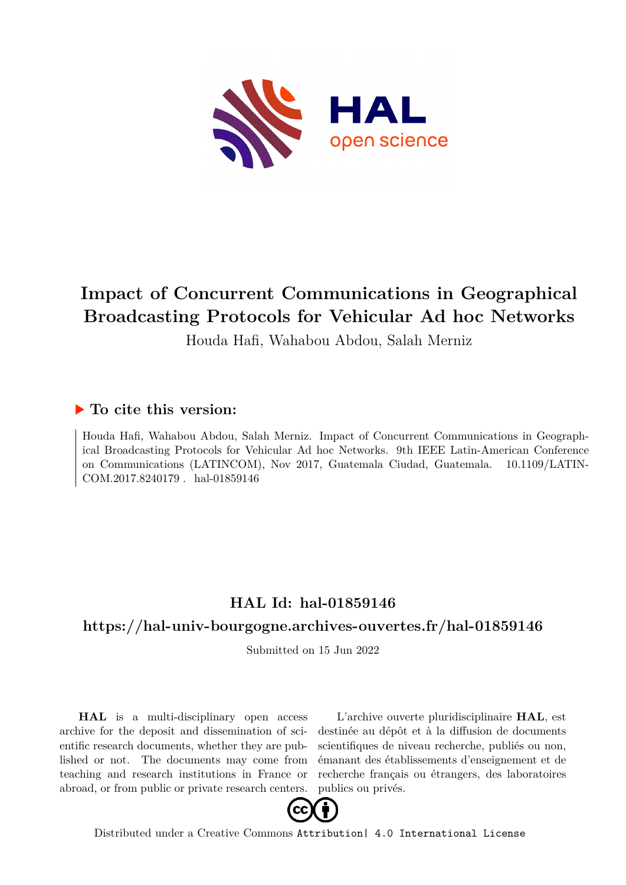

## **Impact of Concurrent Communications in Geographical Broadcasting Protocols for Vehicular Ad hoc Networks**

Houda Hafi, Wahabou Abdou, Salah Merniz

### **To cite this version:**

Houda Hafi, Wahabou Abdou, Salah Merniz. Impact of Concurrent Communications in Geographical Broadcasting Protocols for Vehicular Ad hoc Networks. 9th IEEE Latin-American Conference on Communications (LATINCOM), Nov 2017, Guatemala Ciudad, Guatemala. 10.1109/LATIN- $COM.2017.8240179$ . hal-01859146

## **HAL Id: hal-01859146**

### **<https://hal-univ-bourgogne.archives-ouvertes.fr/hal-01859146>**

Submitted on 15 Jun 2022

**HAL** is a multi-disciplinary open access archive for the deposit and dissemination of scientific research documents, whether they are published or not. The documents may come from teaching and research institutions in France or abroad, or from public or private research centers.

L'archive ouverte pluridisciplinaire **HAL**, est destinée au dépôt et à la diffusion de documents scientifiques de niveau recherche, publiés ou non, émanant des établissements d'enseignement et de recherche français ou étrangers, des laboratoires publics ou privés.



Distributed under a Creative Commons [Attribution| 4.0 International License](http://creativecommons.org/licenses/by/4.0/)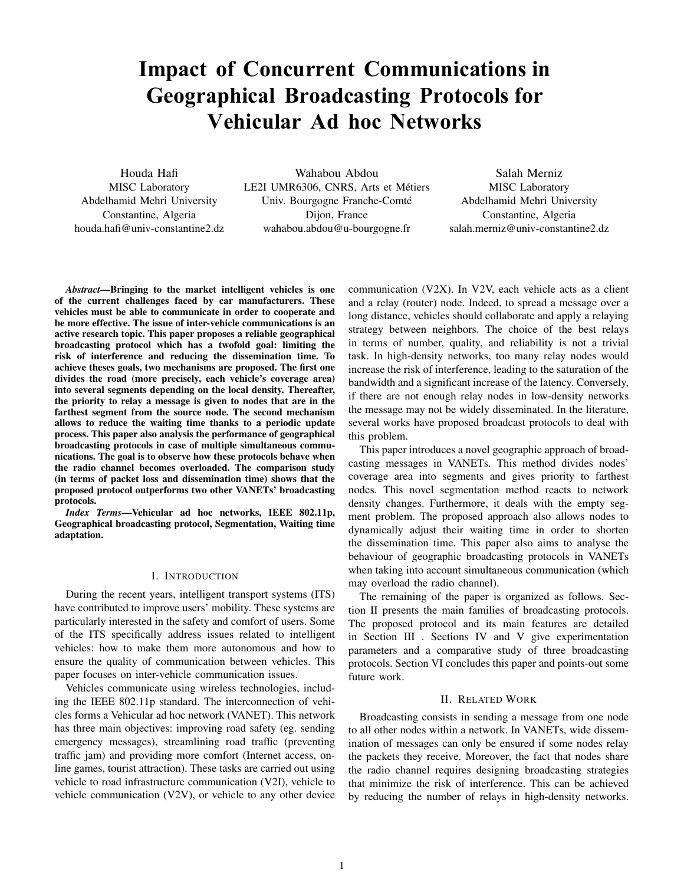# **Impact of Concurrent Communications in Geographical Broadcasting Protocols for Vehicular Ad hoc Networks**

Houda Hafi MISC Laboratory Abdelhamid Mehri University Constantine, Algeria houda.hafi@univ-constantine2.dz

Wahabou Abdou LE2I UMR6306, CNRS, Arts et Métiers Univ. Bourgogne Franche-Comté Dijon, France wahabou.abdou@u-bourgogne.fr

Salah Merniz MISC Laboratory Abdelhamid Mehri University Constantine, Algeria salah.merniz@univ-constantine2.dz

*Abstract*—Bringing to the market intelligent vehicles is one of the current challenges faced by car manufacturers. These vehicles must be able to communicate in order to cooperate and be more effective. The issue of inter-vehicle communications is an active research topic. This paper proposes a reliable geographical broadcasting protocol which has a twofold goal: limiting the risk of interference and reducing the dissemination time. To achieve theses goals, two mechanisms are proposed. The first one divides the road (more precisely, each vehicle's coverage area) into several segments depending on the local density. Thereafter, the priority to relay a message is given to nodes that are in the farthest segment from the source node. The second mechanism allows to reduce the waiting time thanks to a periodic update process. This paper also analysis the performance of geographical broadcasting protocols in case of multiple simultaneous communications. The goal is to observe how these protocols behave when the radio channel becomes overloaded. The comparison study (in terms of packet loss and dissemination time) shows that the proposed protocol outperforms two other VANETs' broadcasting protocols.

*Index Terms*—Vehicular ad hoc networks, IEEE 802.11p, Geographical broadcasting protocol, Segmentation, Waiting time adaptation.

#### I. INTRODUCTION

During the recent years, intelligent transport systems (ITS) have contributed to improve users' mobility. These systems are particularly interested in the safety and comfort of users. Some of the ITS specifically address issues related to intelligent vehicles: how to make them more autonomous and how to ensure the quality of communication between vehicles. This paper focuses on inter-vehicle communication issues.

Vehicles communicate using wireless technologies, including the IEEE 802.11p standard. The interconnection of vehicles forms a Vehicular ad hoc network (VANET). This network has three main objectives: improving road safety (eg. sending emergency messages), streamlining road traffic (preventing traffic jam) and providing more comfort (Internet access, online games, tourist attraction). These tasks are carried out using vehicle to road infrastructure communication (V2I), vehicle to vehicle communication (V2V), or vehicle to any other device communication (V2X). In V2V, each vehicle acts as a client and a relay (router) node. Indeed, to spread a message over a long distance, vehicles should collaborate and apply a relaying strategy between neighbors. The choice of the best relays in terms of number, quality, and reliability is not a trivial task. In high-density networks, too many relay nodes would increase the risk of interference, leading to the saturation of the bandwidth and a significant increase of the latency. Conversely, if there are not enough relay nodes in low-density networks the message may not be widely disseminated. In the literature, several works have proposed broadcast protocols to deal with this problem.

This paper introduces a novel geographic approach of broadcasting messages in VANETs. This method divides nodes' coverage area into segments and gives priority to farthest nodes. This novel segmentation method reacts to network density changes. Furthermore, it deals with the empty segment problem. The proposed approach also allows nodes to dynamically adjust their waiting time in order to shorten the dissemination time. This paper also aims to analyse the behaviour of geographic broadcasting protocols in VANETs when taking into account simultaneous communication (which may overload the radio channel).

The remaining of the paper is organized as follows. Section II presents the main families of broadcasting protocols. The proposed protocol and its main features are detailed in Section III . Sections IV and V give experimentation parameters and a comparative study of three broadcasting protocols. Section VI concludes this paper and points-out some future work.

#### II. RELATED WORK

Broadcasting consists in sending a message from one node to all other nodes within a network. In VANETs, wide dissemination of messages can only be ensured if some nodes relay the packets they receive. Moreover, the fact that nodes share the radio channel requires designing broadcasting strategies that minimize the risk of interference. This can be achieved by reducing the number of relays in high-density networks.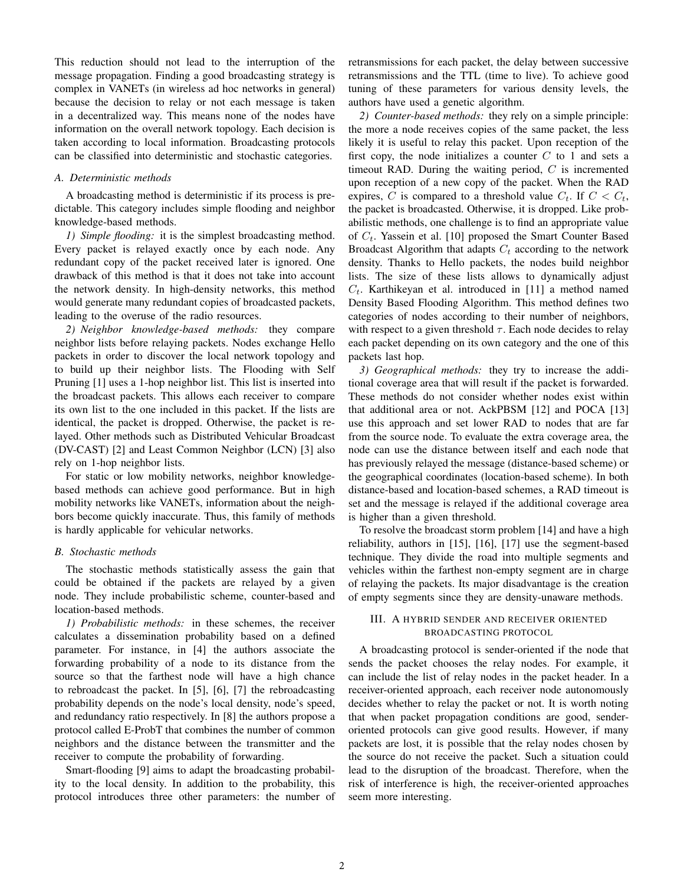This reduction should not lead to the interruption of the message propagation. Finding a good broadcasting strategy is complex in VANETs (in wireless ad hoc networks in general) because the decision to relay or not each message is taken in a decentralized way. This means none of the nodes have information on the overall network topology. Each decision is taken according to local information. Broadcasting protocols can be classified into deterministic and stochastic categories.

#### *A. Deterministic methods*

A broadcasting method is deterministic if its process is predictable. This category includes simple flooding and neighbor knowledge-based methods.

*1) Simple flooding:* it is the simplest broadcasting method. Every packet is relayed exactly once by each node. Any redundant copy of the packet received later is ignored. One drawback of this method is that it does not take into account the network density. In high-density networks, this method would generate many redundant copies of broadcasted packets, leading to the overuse of the radio resources.

*2) Neighbor knowledge-based methods:* they compare neighbor lists before relaying packets. Nodes exchange Hello packets in order to discover the local network topology and to build up their neighbor lists. The Flooding with Self Pruning [1] uses a 1-hop neighbor list. This list is inserted into the broadcast packets. This allows each receiver to compare its own list to the one included in this packet. If the lists are identical, the packet is dropped. Otherwise, the packet is relayed. Other methods such as Distributed Vehicular Broadcast (DV-CAST) [2] and Least Common Neighbor (LCN) [3] also rely on 1-hop neighbor lists.

For static or low mobility networks, neighbor knowledgebased methods can achieve good performance. But in high mobility networks like VANETs, information about the neighbors become quickly inaccurate. Thus, this family of methods is hardly applicable for vehicular networks.

#### *B. Stochastic methods*

The stochastic methods statistically assess the gain that could be obtained if the packets are relayed by a given node. They include probabilistic scheme, counter-based and location-based methods.

*1) Probabilistic methods:* in these schemes, the receiver calculates a dissemination probability based on a defined parameter. For instance, in [4] the authors associate the forwarding probability of a node to its distance from the source so that the farthest node will have a high chance to rebroadcast the packet. In [5], [6], [7] the rebroadcasting probability depends on the node's local density, node's speed, and redundancy ratio respectively. In [8] the authors propose a protocol called E-ProbT that combines the number of common neighbors and the distance between the transmitter and the receiver to compute the probability of forwarding.

Smart-flooding [9] aims to adapt the broadcasting probability to the local density. In addition to the probability, this protocol introduces three other parameters: the number of

retransmissions for each packet, the delay between successive retransmissions and the TTL (time to live). To achieve good tuning of these parameters for various density levels, the authors have used a genetic algorithm.

*2) Counter-based methods:* they rely on a simple principle: the more a node receives copies of the same packet, the less likely it is useful to relay this packet. Upon reception of the first copy, the node initializes a counter  $C$  to 1 and sets a timeout RAD. During the waiting period, C is incremented upon reception of a new copy of the packet. When the RAD expires, C is compared to a threshold value  $C_t$ . If  $C < C_t$ , the packet is broadcasted. Otherwise, it is dropped. Like probabilistic methods, one challenge is to find an appropriate value of  $C_t$ . Yassein et al. [10] proposed the Smart Counter Based Broadcast Algorithm that adapts  $C_t$  according to the network density. Thanks to Hello packets, the nodes build neighbor lists. The size of these lists allows to dynamically adjust  $C_t$ . Karthikeyan et al. introduced in [11] a method named Density Based Flooding Algorithm. This method defines two categories of nodes according to their number of neighbors, with respect to a given threshold  $\tau$ . Each node decides to relay each packet depending on its own category and the one of this packets last hop.

*3) Geographical methods:* they try to increase the additional coverage area that will result if the packet is forwarded. These methods do not consider whether nodes exist within that additional area or not. AckPBSM [12] and POCA [13] use this approach and set lower RAD to nodes that are far from the source node. To evaluate the extra coverage area, the node can use the distance between itself and each node that has previously relayed the message (distance-based scheme) or the geographical coordinates (location-based scheme). In both distance-based and location-based schemes, a RAD timeout is set and the message is relayed if the additional coverage area is higher than a given threshold.

To resolve the broadcast storm problem [14] and have a high reliability, authors in [15], [16], [17] use the segment-based technique. They divide the road into multiple segments and vehicles within the farthest non-empty segment are in charge of relaying the packets. Its major disadvantage is the creation of empty segments since they are density-unaware methods.

#### III. A HYBRID SENDER AND RECEIVER ORIENTED BROADCASTING PROTOCOL

A broadcasting protocol is sender-oriented if the node that sends the packet chooses the relay nodes. For example, it can include the list of relay nodes in the packet header. In a receiver-oriented approach, each receiver node autonomously decides whether to relay the packet or not. It is worth noting that when packet propagation conditions are good, senderoriented protocols can give good results. However, if many packets are lost, it is possible that the relay nodes chosen by the source do not receive the packet. Such a situation could lead to the disruption of the broadcast. Therefore, when the risk of interference is high, the receiver-oriented approaches seem more interesting.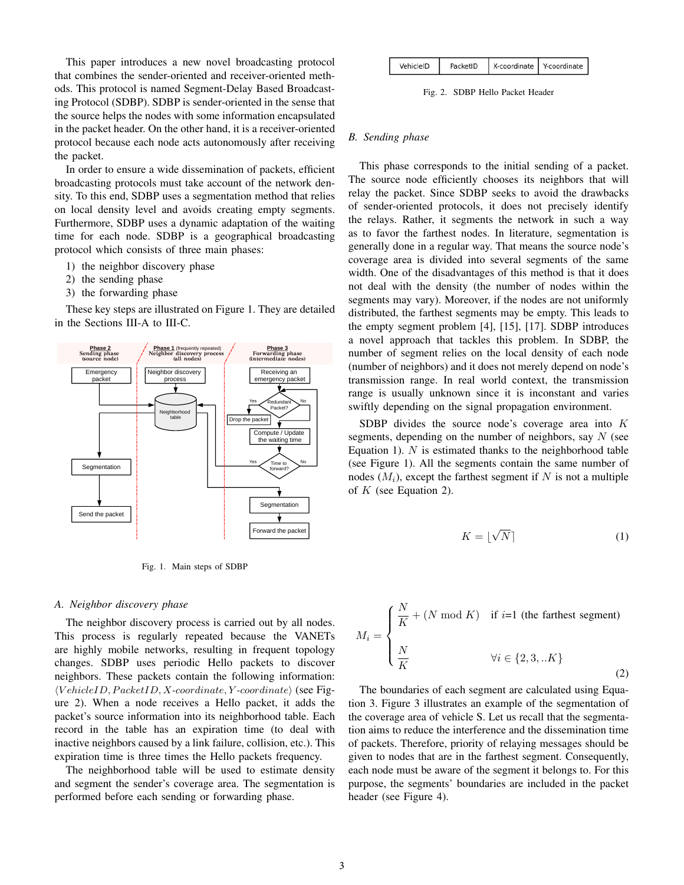This paper introduces a new novel broadcasting protocol that combines the sender-oriented and receiver-oriented methods. This protocol is named Segment-Delay Based Broadcasting Protocol (SDBP). SDBP is sender-oriented in the sense that the source helps the nodes with some information encapsulated in the packet header. On the other hand, it is a receiver-oriented protocol because each node acts autonomously after receiving the packet.

In order to ensure a wide dissemination of packets, efficient broadcasting protocols must take account of the network density. To this end, SDBP uses a segmentation method that relies on local density level and avoids creating empty segments. Furthermore, SDBP uses a dynamic adaptation of the waiting time for each node. SDBP is a geographical broadcasting protocol which consists of three main phases:

- 1) the neighbor discovery phase
- 2) the sending phase
- 3) the forwarding phase

These key steps are illustrated on Figure 1. They are detailed in the Sections III-A to III-C.



Fig. 1. Main steps of SDBP

#### *A. Neighbor discovery phase*

The neighbor discovery process is carried out by all nodes. This process is regularly repeated because the VANETs are highly mobile networks, resulting in frequent topology changes. SDBP uses periodic Hello packets to discover neighbors. These packets contain the following information:  $\langle VehicleID, PacketID, X-coordinate, Y-coordinate \rangle$  (see Figure 2). When a node receives a Hello packet, it adds the packet's source information into its neighborhood table. Each record in the table has an expiration time (to deal with inactive neighbors caused by a link failure, collision, etc.). This expiration time is three times the Hello packets frequency.

The neighborhood table will be used to estimate density and segment the sender's coverage area. The segmentation is performed before each sending or forwarding phase.

|  | VehicleID | PacketID | X-coordinate   Y-coordinate |  |  |
|--|-----------|----------|-----------------------------|--|--|
|--|-----------|----------|-----------------------------|--|--|

Fig. 2. SDBP Hello Packet Header

#### *B. Sending phase*

This phase corresponds to the initial sending of a packet. The source node efficiently chooses its neighbors that will relay the packet. Since SDBP seeks to avoid the drawbacks of sender-oriented protocols, it does not precisely identify the relays. Rather, it segments the network in such a way as to favor the farthest nodes. In literature, segmentation is generally done in a regular way. That means the source node's coverage area is divided into several segments of the same width. One of the disadvantages of this method is that it does not deal with the density (the number of nodes within the segments may vary). Moreover, if the nodes are not uniformly distributed, the farthest segments may be empty. This leads to the empty segment problem [4], [15], [17]. SDBP introduces a novel approach that tackles this problem. In SDBP, the number of segment relies on the local density of each node (number of neighbors) and it does not merely depend on node's transmission range. In real world context, the transmission range is usually unknown since it is inconstant and varies swiftly depending on the signal propagation environment.

SDBP divides the source node's coverage area into K segments, depending on the number of neighbors, say  $N$  (see Equation 1).  $N$  is estimated thanks to the neighborhood table (see Figure 1). All the segments contain the same number of nodes  $(M_i)$ , except the farthest segment if N is not a multiple of  $K$  (see Equation 2).

$$
K = \lfloor \sqrt{N} \rceil \tag{1}
$$

$$
M_i = \begin{cases} \frac{N}{K} + (N \mod K) & \text{if } i = 1 \text{ (the farthest segment)}\\ \frac{N}{K} & \forall i \in \{2, 3, .. K\} \end{cases}
$$
 (2)

The boundaries of each segment are calculated using Equation 3. Figure 3 illustrates an example of the segmentation of the coverage area of vehicle S. Let us recall that the segmentation aims to reduce the interference and the dissemination time of packets. Therefore, priority of relaying messages should be given to nodes that are in the farthest segment. Consequently, each node must be aware of the segment it belongs to. For this purpose, the segments' boundaries are included in the packet header (see Figure 4).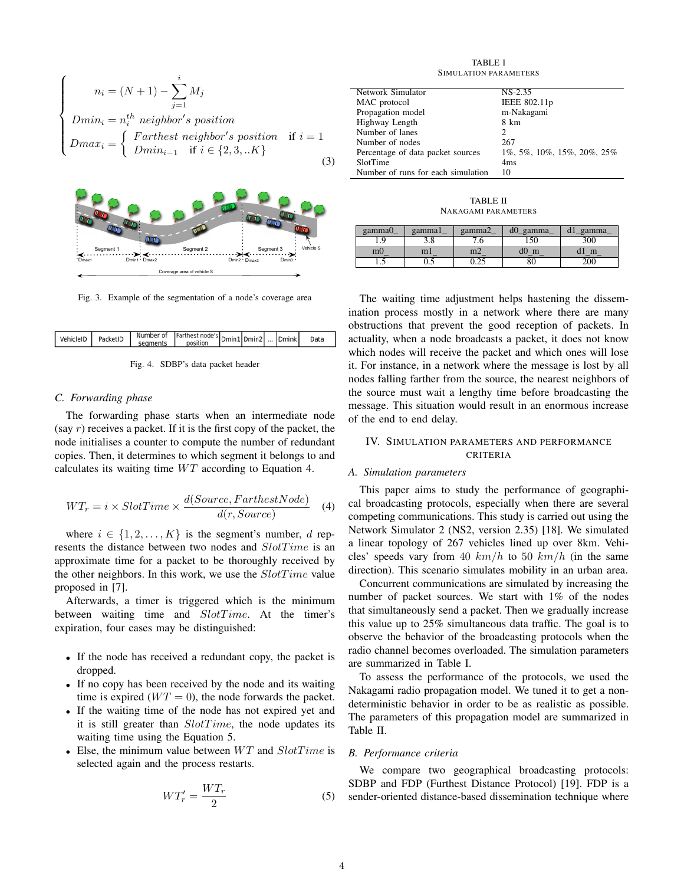$$
\begin{cases}\nn_i = (N+1) - \sum_{j=1}^{i} M_j \\
Dmin_i = n_i^{th} \ neighborhood's \ position \\
Dmax_i = \begin{cases}\nFarthest \ neighbor's \ position & \text{if } i = 1 \\
Dmin_{i-1} & \text{if } i \in \{2, 3, ..K\} \n\end{cases}\n\end{cases}
$$
\n(3)



Fig. 3. Example of the segmentation of a node's coverage area

| VehicleID   PacketID   Number of Farthest node's   Dmin1   Dmin2      Dmink   Data |  |  |  |  |
|------------------------------------------------------------------------------------|--|--|--|--|

Fig. 4. SDBP's data packet header

#### *C. Forwarding phase*

The forwarding phase starts when an intermediate node (say  $r$ ) receives a packet. If it is the first copy of the packet, the node initialises a counter to compute the number of redundant copies. Then, it determines to which segment it belongs to and calculates its waiting time  $WT$  according to Equation 4.

$$
WT_r = i \times SlotTime \times \frac{d(Source, FarthestNode)}{d(r, Source)} \quad (4)
$$

where  $i \in \{1, 2, \ldots, K\}$  is the segment's number, d represents the distance between two nodes and  $SlotTime$  is an approximate time for a packet to be thoroughly received by the other neighbors. In this work, we use the  $SlotTime$  value proposed in [7].

Afterwards, a timer is triggered which is the minimum between waiting time and  $SlotTime$ . At the timer's expiration, four cases may be distinguished:

- If the node has received a redundant copy, the packet is dropped.
- If no copy has been received by the node and its waiting time is expired  $(W T = 0)$ , the node forwards the packet.
- If the waiting time of the node has not expired yet and it is still greater than  $SlotTime$ , the node updates its waiting time using the Equation 5.
- Else, the minimum value between  $WT$  and  $SlotTime$  is selected again and the process restarts.

$$
WT'_r = \frac{WT_r}{2} \tag{5}
$$

TABLE I SIMULATION PARAMETERS

| Network Simulator                  | $NS-2.35$                  |
|------------------------------------|----------------------------|
| MAC protocol                       | IEEE 802.11p               |
| Propagation model                  | m-Nakagami                 |
| Highway Length                     | 8 km                       |
| Number of lanes                    | 2                          |
| Number of nodes                    | 267                        |
| Percentage of data packet sources  | 1%, 5%, 10%, 15%, 20%, 25% |
| SlotTime                           | 4ms                        |
| Number of runs for each simulation | 10                         |

TABLE II NAKAGAMI PARAMETERS

| gamma | gammal         | oamma′ | gamma   | gamma |
|-------|----------------|--------|---------|-------|
|       | J.O            | 7. V   | 150     | 300   |
| mU    | m <sub>l</sub> | ш      | m<br>αU | m     |
| ر 1   | ∪.J            |        | οv      | 200   |

The waiting time adjustment helps hastening the dissemination process mostly in a network where there are many obstructions that prevent the good reception of packets. In actuality, when a node broadcasts a packet, it does not know which nodes will receive the packet and which ones will lose it. For instance, in a network where the message is lost by all nodes falling farther from the source, the nearest neighbors of the source must wait a lengthy time before broadcasting the message. This situation would result in an enormous increase of the end to end delay.

#### IV. SIMULATION PARAMETERS AND PERFORMANCE CRITERIA

#### *A. Simulation parameters*

This paper aims to study the performance of geographical broadcasting protocols, especially when there are several competing communications. This study is carried out using the Network Simulator 2 (NS2, version 2.35) [18]. We simulated a linear topology of 267 vehicles lined up over 8km. Vehicles' speeds vary from 40  $km/h$  to 50  $km/h$  (in the same direction). This scenario simulates mobility in an urban area.

Concurrent communications are simulated by increasing the number of packet sources. We start with 1% of the nodes that simultaneously send a packet. Then we gradually increase this value up to 25% simultaneous data traffic. The goal is to observe the behavior of the broadcasting protocols when the radio channel becomes overloaded. The simulation parameters are summarized in Table I.

To assess the performance of the protocols, we used the Nakagami radio propagation model. We tuned it to get a nondeterministic behavior in order to be as realistic as possible. The parameters of this propagation model are summarized in Table II.

#### *B. Performance criteria*

We compare two geographical broadcasting protocols: SDBP and FDP (Furthest Distance Protocol) [19]. FDP is a sender-oriented distance-based dissemination technique where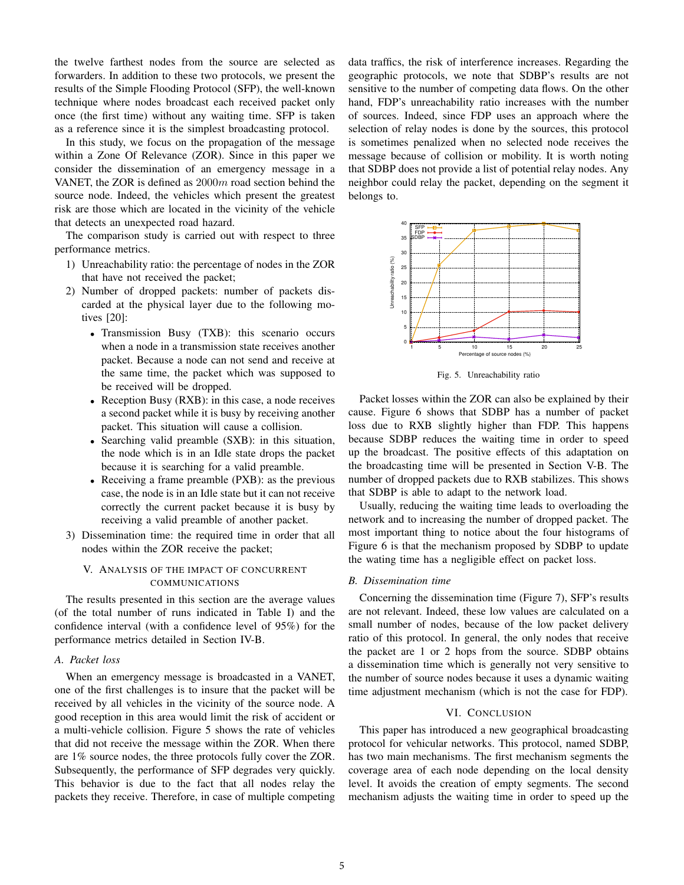the twelve farthest nodes from the source are selected as forwarders. In addition to these two protocols, we present the results of the Simple Flooding Protocol (SFP), the well-known technique where nodes broadcast each received packet only once (the first time) without any waiting time. SFP is taken as a reference since it is the simplest broadcasting protocol.

In this study, we focus on the propagation of the message within a Zone Of Relevance (ZOR). Since in this paper we consider the dissemination of an emergency message in a VANET, the ZOR is defined as 2000m road section behind the source node. Indeed, the vehicles which present the greatest risk are those which are located in the vicinity of the vehicle that detects an unexpected road hazard.

The comparison study is carried out with respect to three performance metrics.

- 1) Unreachability ratio: the percentage of nodes in the ZOR that have not received the packet;
- 2) Number of dropped packets: number of packets discarded at the physical layer due to the following motives [20]:
	- Transmission Busy (TXB): this scenario occurs when a node in a transmission state receives another packet. Because a node can not send and receive at the same time, the packet which was supposed to be received will be dropped.
	- Reception Busy (RXB): in this case, a node receives a second packet while it is busy by receiving another packet. This situation will cause a collision.
	- Searching valid preamble (SXB): in this situation, the node which is in an Idle state drops the packet because it is searching for a valid preamble.
	- Receiving a frame preamble (PXB): as the previous case, the node is in an Idle state but it can not receive correctly the current packet because it is busy by receiving a valid preamble of another packet.
- 3) Dissemination time: the required time in order that all nodes within the ZOR receive the packet;

#### V. ANALYSIS OF THE IMPACT OF CONCURRENT COMMUNICATIONS

The results presented in this section are the average values (of the total number of runs indicated in Table I) and the confidence interval (with a confidence level of 95%) for the performance metrics detailed in Section IV-B.

#### *A. Packet loss*

When an emergency message is broadcasted in a VANET, one of the first challenges is to insure that the packet will be received by all vehicles in the vicinity of the source node. A good reception in this area would limit the risk of accident or a multi-vehicle collision. Figure 5 shows the rate of vehicles that did not receive the message within the ZOR. When there are 1% source nodes, the three protocols fully cover the ZOR. Subsequently, the performance of SFP degrades very quickly. This behavior is due to the fact that all nodes relay the packets they receive. Therefore, in case of multiple competing

data traffics, the risk of interference increases. Regarding the geographic protocols, we note that SDBP's results are not sensitive to the number of competing data flows. On the other hand, FDP's unreachability ratio increases with the number of sources. Indeed, since FDP uses an approach where the selection of relay nodes is done by the sources, this protocol is sometimes penalized when no selected node receives the message because of collision or mobility. It is worth noting that SDBP does not provide a list of potential relay nodes. Any neighbor could relay the packet, depending on the segment it belongs to.



Fig. 5. Unreachability ratio

Packet losses within the ZOR can also be explained by their cause. Figure 6 shows that SDBP has a number of packet loss due to RXB slightly higher than FDP. This happens because SDBP reduces the waiting time in order to speed up the broadcast. The positive effects of this adaptation on the broadcasting time will be presented in Section V-B. The number of dropped packets due to RXB stabilizes. This shows that SDBP is able to adapt to the network load.

Usually, reducing the waiting time leads to overloading the network and to increasing the number of dropped packet. The most important thing to notice about the four histograms of Figure 6 is that the mechanism proposed by SDBP to update the wating time has a negligible effect on packet loss.

#### *B. Dissemination time*

Concerning the dissemination time (Figure 7), SFP's results are not relevant. Indeed, these low values are calculated on a small number of nodes, because of the low packet delivery ratio of this protocol. In general, the only nodes that receive the packet are 1 or 2 hops from the source. SDBP obtains a dissemination time which is generally not very sensitive to the number of source nodes because it uses a dynamic waiting time adjustment mechanism (which is not the case for FDP).

#### VI. CONCLUSION

This paper has introduced a new geographical broadcasting protocol for vehicular networks. This protocol, named SDBP, has two main mechanisms. The first mechanism segments the coverage area of each node depending on the local density level. It avoids the creation of empty segments. The second mechanism adjusts the waiting time in order to speed up the